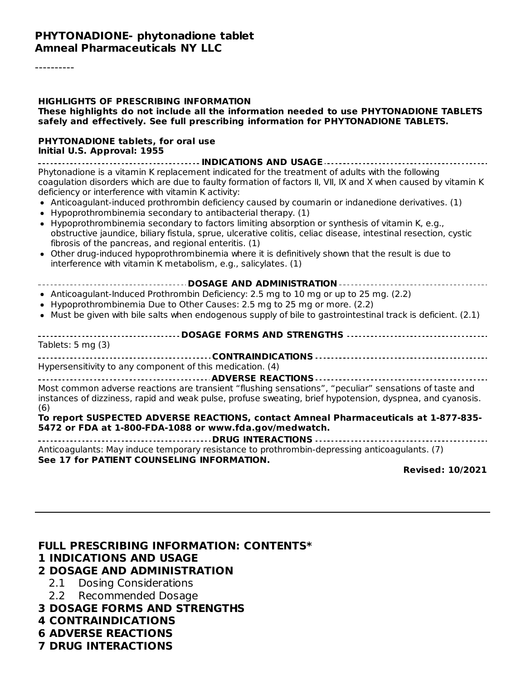----------

| <b>HIGHLIGHTS OF PRESCRIBING INFORMATION</b><br>These highlights do not include all the information needed to use PHYTONADIONE TABLETS<br>safely and effectively. See full prescribing information for PHYTONADIONE TABLETS.                                                                                                                                                                                                                                                                                                                                                                                                                                                                                                                                                                                                                                                                        |
|-----------------------------------------------------------------------------------------------------------------------------------------------------------------------------------------------------------------------------------------------------------------------------------------------------------------------------------------------------------------------------------------------------------------------------------------------------------------------------------------------------------------------------------------------------------------------------------------------------------------------------------------------------------------------------------------------------------------------------------------------------------------------------------------------------------------------------------------------------------------------------------------------------|
| <b>PHYTONADIONE tablets, for oral use</b><br>Initial U.S. Approval: 1955<br>-------------------------------- INDICATIONS AND USAGE ------------------------------                                                                                                                                                                                                                                                                                                                                                                                                                                                                                                                                                                                                                                                                                                                                   |
| Phytonadione is a vitamin K replacement indicated for the treatment of adults with the following<br>coagulation disorders which are due to faulty formation of factors II, VII, IX and X when caused by vitamin K<br>deficiency or interference with vitamin K activity:<br>• Anticoagulant-induced prothrombin deficiency caused by coumarin or indanedione derivatives. (1)<br>• Hypoprothrombinemia secondary to antibacterial therapy. (1)<br>• Hypoprothrombinemia secondary to factors limiting absorption or synthesis of vitamin K, e.g.,<br>obstructive jaundice, biliary fistula, sprue, ulcerative colitis, celiac disease, intestinal resection, cystic<br>fibrosis of the pancreas, and regional enteritis. (1)<br>• Other drug-induced hypoprothrombinemia where it is definitively shown that the result is due to<br>interference with vitamin K metabolism, e.g., salicylates. (1) |
| ------------------------------- DOSAGE AND ADMINISTRATION ---------------------------------<br>• Anticoagulant-Induced Prothrombin Deficiency: 2.5 mg to 10 mg or up to 25 mg. (2.2)<br>• Hypoprothrombinemia Due to Other Causes: 2.5 mg to 25 mg or more. (2.2)<br>• Must be given with bile salts when endogenous supply of bile to gastrointestinal track is deficient. (2.1)                                                                                                                                                                                                                                                                                                                                                                                                                                                                                                                   |
| ------------------- DOSAGE FORMS AND STRENGTHS ----------------------------------<br>Tablets: $5 \text{ mg} (3)$                                                                                                                                                                                                                                                                                                                                                                                                                                                                                                                                                                                                                                                                                                                                                                                    |
| Hypersensitivity to any component of this medication. (4)                                                                                                                                                                                                                                                                                                                                                                                                                                                                                                                                                                                                                                                                                                                                                                                                                                           |
| Most common adverse reactions are transient "flushing sensations", "peculiar" sensations of taste and<br>instances of dizziness, rapid and weak pulse, profuse sweating, brief hypotension, dyspnea, and cyanosis.<br>(6)                                                                                                                                                                                                                                                                                                                                                                                                                                                                                                                                                                                                                                                                           |
| To report SUSPECTED ADVERSE REACTIONS, contact Amneal Pharmaceuticals at 1-877-835-<br>5472 or FDA at 1-800-FDA-1088 or www.fda.gov/medwatch.                                                                                                                                                                                                                                                                                                                                                                                                                                                                                                                                                                                                                                                                                                                                                       |
| Anticoagulants: May induce temporary resistance to prothrombin-depressing anticoagulants. (7)<br>See 17 for PATIENT COUNSELING INFORMATION.                                                                                                                                                                                                                                                                                                                                                                                                                                                                                                                                                                                                                                                                                                                                                         |
| <b>Revised: 10/2021</b>                                                                                                                                                                                                                                                                                                                                                                                                                                                                                                                                                                                                                                                                                                                                                                                                                                                                             |

#### **FULL PRESCRIBING INFORMATION: CONTENTS\* 1 INDICATIONS AND USAGE 2 DOSAGE AND ADMINISTRATION**

- 2.1 Dosing Considerations
- 2.2 Recommended Dosage
- **3 DOSAGE FORMS AND STRENGTHS**
- **4 CONTRAINDICATIONS**
- **6 ADVERSE REACTIONS**
- **7 DRUG INTERACTIONS**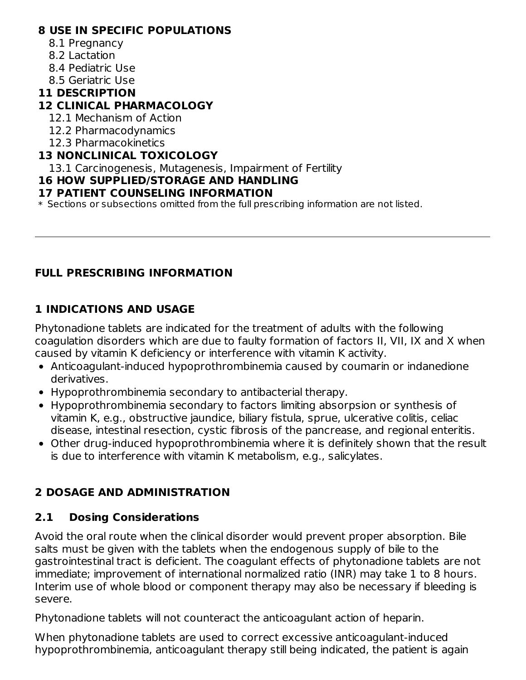#### **8 USE IN SPECIFIC POPULATIONS**

- 8.1 Pregnancy
- 8.2 Lactation
- 8.4 Pediatric Use
- 8.5 Geriatric Use

### **11 DESCRIPTION**

#### **12 CLINICAL PHARMACOLOGY**

- 12.1 Mechanism of Action
- 12.2 Pharmacodynamics
- 12.3 Pharmacokinetics

#### **13 NONCLINICAL TOXICOLOGY**

13.1 Carcinogenesis, Mutagenesis, Impairment of Fertility

### **16 HOW SUPPLIED/STORAGE AND HANDLING**

#### **17 PATIENT COUNSELING INFORMATION**

 $\ast$  Sections or subsections omitted from the full prescribing information are not listed.

### **FULL PRESCRIBING INFORMATION**

### **1 INDICATIONS AND USAGE**

Phytonadione tablets are indicated for the treatment of adults with the following coagulation disorders which are due to faulty formation of factors II, VII, IX and X when caused by vitamin K deficiency or interference with vitamin K activity.

- Anticoagulant-induced hypoprothrombinemia caused by coumarin or indanedione derivatives.
- Hypoprothrombinemia secondary to antibacterial therapy.
- Hypoprothrombinemia secondary to factors limiting absorpsion or synthesis of vitamin K, e.g., obstructive jaundice, biliary fistula, sprue, ulcerative colitis, celiac disease, intestinal resection, cystic fibrosis of the pancrease, and regional enteritis.
- Other drug-induced hypoprothrombinemia where it is definitely shown that the result is due to interference with vitamin K metabolism, e.g., salicylates.

### **2 DOSAGE AND ADMINISTRATION**

### **2.1 Dosing Considerations**

Avoid the oral route when the clinical disorder would prevent proper absorption. Bile salts must be given with the tablets when the endogenous supply of bile to the gastrointestinal tract is deficient. The coagulant effects of phytonadione tablets are not immediate; improvement of international normalized ratio (INR) may take 1 to 8 hours. Interim use of whole blood or component therapy may also be necessary if bleeding is severe.

Phytonadione tablets will not counteract the anticoagulant action of heparin.

When phytonadione tablets are used to correct excessive anticoagulant-induced hypoprothrombinemia, anticoagulant therapy still being indicated, the patient is again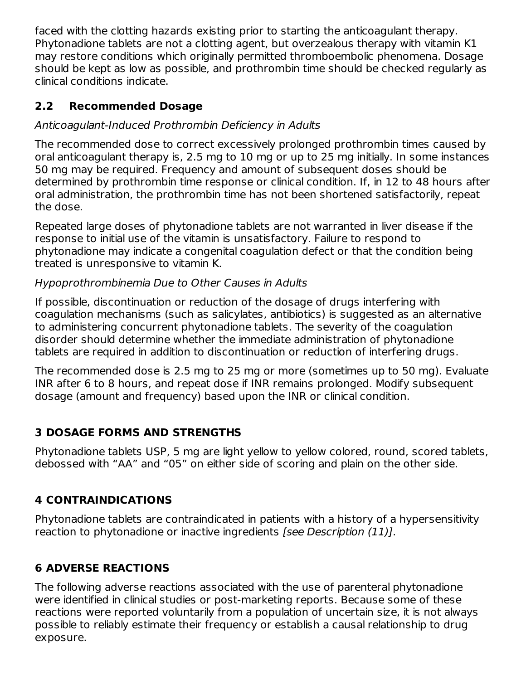faced with the clotting hazards existing prior to starting the anticoagulant therapy. Phytonadione tablets are not a clotting agent, but overzealous therapy with vitamin K1 may restore conditions which originally permitted thromboembolic phenomena. Dosage should be kept as low as possible, and prothrombin time should be checked regularly as clinical conditions indicate.

# **2.2 Recommended Dosage**

### Anticoagulant-Induced Prothrombin Deficiency in Adults

The recommended dose to correct excessively prolonged prothrombin times caused by oral anticoagulant therapy is, 2.5 mg to 10 mg or up to 25 mg initially. In some instances 50 mg may be required. Frequency and amount of subsequent doses should be determined by prothrombin time response or clinical condition. If, in 12 to 48 hours after oral administration, the prothrombin time has not been shortened satisfactorily, repeat the dose.

Repeated large doses of phytonadione tablets are not warranted in liver disease if the response to initial use of the vitamin is unsatisfactory. Failure to respond to phytonadione may indicate a congenital coagulation defect or that the condition being treated is unresponsive to vitamin K.

### Hypoprothrombinemia Due to Other Causes in Adults

If possible, discontinuation or reduction of the dosage of drugs interfering with coagulation mechanisms (such as salicylates, antibiotics) is suggested as an alternative to administering concurrent phytonadione tablets. The severity of the coagulation disorder should determine whether the immediate administration of phytonadione tablets are required in addition to discontinuation or reduction of interfering drugs.

The recommended dose is 2.5 mg to 25 mg or more (sometimes up to 50 mg). Evaluate INR after 6 to 8 hours, and repeat dose if INR remains prolonged. Modify subsequent dosage (amount and frequency) based upon the INR or clinical condition.

# **3 DOSAGE FORMS AND STRENGTHS**

Phytonadione tablets USP, 5 mg are light yellow to yellow colored, round, scored tablets, debossed with "AA" and "05" on either side of scoring and plain on the other side.

# **4 CONTRAINDICATIONS**

Phytonadione tablets are contraindicated in patients with a history of a hypersensitivity reaction to phytonadione or inactive ingredients [see Description (11)].

# **6 ADVERSE REACTIONS**

The following adverse reactions associated with the use of parenteral phytonadione were identified in clinical studies or post-marketing reports. Because some of these reactions were reported voluntarily from a population of uncertain size, it is not always possible to reliably estimate their frequency or establish a causal relationship to drug exposure.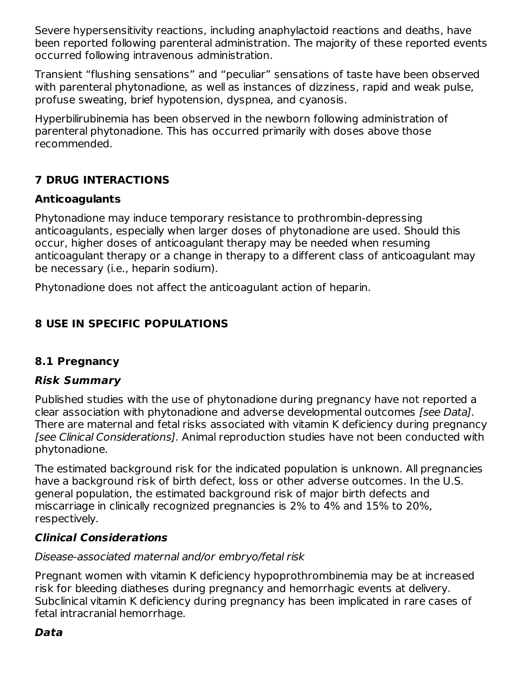Severe hypersensitivity reactions, including anaphylactoid reactions and deaths, have been reported following parenteral administration. The majority of these reported events occurred following intravenous administration.

Transient "flushing sensations" and "peculiar" sensations of taste have been observed with parenteral phytonadione, as well as instances of dizziness, rapid and weak pulse, profuse sweating, brief hypotension, dyspnea, and cyanosis.

Hyperbilirubinemia has been observed in the newborn following administration of parenteral phytonadione. This has occurred primarily with doses above those recommended.

# **7 DRUG INTERACTIONS**

### **Anticoagulants**

Phytonadione may induce temporary resistance to prothrombin-depressing anticoagulants, especially when larger doses of phytonadione are used. Should this occur, higher doses of anticoagulant therapy may be needed when resuming anticoagulant therapy or a change in therapy to a different class of anticoagulant may be necessary (i.e., heparin sodium).

Phytonadione does not affect the anticoagulant action of heparin.

# **8 USE IN SPECIFIC POPULATIONS**

### **8.1 Pregnancy**

### **Risk Summary**

Published studies with the use of phytonadione during pregnancy have not reported a clear association with phytonadione and adverse developmental outcomes [see Data]. There are maternal and fetal risks associated with vitamin K deficiency during pregnancy [see Clinical Considerations]. Animal reproduction studies have not been conducted with phytonadione.

The estimated background risk for the indicated population is unknown. All pregnancies have a background risk of birth defect, loss or other adverse outcomes. In the U.S. general population, the estimated background risk of major birth defects and miscarriage in clinically recognized pregnancies is 2% to 4% and 15% to 20%, respectively.

### **Clinical Considerations**

### Disease-associated maternal and/or embryo/fetal risk

Pregnant women with vitamin K deficiency hypoprothrombinemia may be at increased risk for bleeding diatheses during pregnancy and hemorrhagic events at delivery. Subclinical vitamin K deficiency during pregnancy has been implicated in rare cases of fetal intracranial hemorrhage.

### **Data**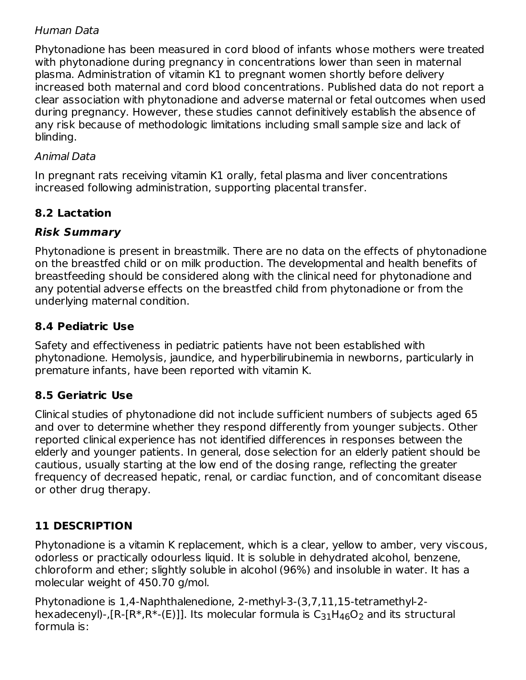### Human Data

Phytonadione has been measured in cord blood of infants whose mothers were treated with phytonadione during pregnancy in concentrations lower than seen in maternal plasma. Administration of vitamin K1 to pregnant women shortly before delivery increased both maternal and cord blood concentrations. Published data do not report a clear association with phytonadione and adverse maternal or fetal outcomes when used during pregnancy. However, these studies cannot definitively establish the absence of any risk because of methodologic limitations including small sample size and lack of blinding.

#### Animal Data

In pregnant rats receiving vitamin K1 orally, fetal plasma and liver concentrations increased following administration, supporting placental transfer.

### **8.2 Lactation**

### **Risk Summary**

Phytonadione is present in breastmilk. There are no data on the effects of phytonadione on the breastfed child or on milk production. The developmental and health benefits of breastfeeding should be considered along with the clinical need for phytonadione and any potential adverse effects on the breastfed child from phytonadione or from the underlying maternal condition.

### **8.4 Pediatric Use**

Safety and effectiveness in pediatric patients have not been established with phytonadione. Hemolysis, jaundice, and hyperbilirubinemia in newborns, particularly in premature infants, have been reported with vitamin K.

### **8.5 Geriatric Use**

Clinical studies of phytonadione did not include sufficient numbers of subjects aged 65 and over to determine whether they respond differently from younger subjects. Other reported clinical experience has not identified differences in responses between the elderly and younger patients. In general, dose selection for an elderly patient should be cautious, usually starting at the low end of the dosing range, reflecting the greater frequency of decreased hepatic, renal, or cardiac function, and of concomitant disease or other drug therapy.

### **11 DESCRIPTION**

Phytonadione is a vitamin K replacement, which is a clear, yellow to amber, very viscous, odorless or practically odourless liquid. It is soluble in dehydrated alcohol, benzene, chloroform and ether; slightly soluble in alcohol (96%) and insoluble in water. It has a molecular weight of 450.70 g/mol.

Phytonadione is 1,4-Naphthalenedione, 2-methyl-3-(3,7,11,15-tetramethyl-2 hexadecenyl)-,[R-[R\*,R\*-(E)]]. Its molecular formula is  $\rm{C_{31}H_{46}O_{2}}$  and its structural formula is: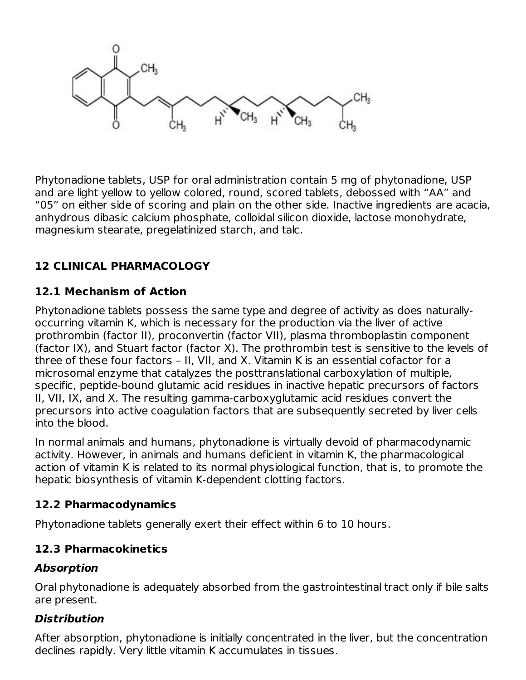

Phytonadione tablets, USP for oral administration contain 5 mg of phytonadione, USP and are light yellow to yellow colored, round, scored tablets, debossed with "AA" and "05" on either side of scoring and plain on the other side. Inactive ingredients are acacia, anhydrous dibasic calcium phosphate, colloidal silicon dioxide, lactose monohydrate, magnesium stearate, pregelatinized starch, and talc.

# **12 CLINICAL PHARMACOLOGY**

### **12.1 Mechanism of Action**

Phytonadione tablets possess the same type and degree of activity as does naturallyoccurring vitamin K, which is necessary for the production via the liver of active prothrombin (factor II), proconvertin (factor VII), plasma thromboplastin component (factor IX), and Stuart factor (factor X). The prothrombin test is sensitive to the levels of three of these four factors – II, VII, and X. Vitamin K is an essential cofactor for a microsomal enzyme that catalyzes the posttranslational carboxylation of multiple, specific, peptide-bound glutamic acid residues in inactive hepatic precursors of factors II, VII, IX, and X. The resulting gamma-carboxyglutamic acid residues convert the precursors into active coagulation factors that are subsequently secreted by liver cells into the blood.

In normal animals and humans, phytonadione is virtually devoid of pharmacodynamic activity. However, in animals and humans deficient in vitamin K, the pharmacological action of vitamin K is related to its normal physiological function, that is, to promote the hepatic biosynthesis of vitamin K-dependent clotting factors.

### **12.2 Pharmacodynamics**

Phytonadione tablets generally exert their effect within 6 to 10 hours.

### **12.3 Pharmacokinetics**

### **Absorption**

Oral phytonadione is adequately absorbed from the gastrointestinal tract only if bile salts are present.

### **Distribution**

After absorption, phytonadione is initially concentrated in the liver, but the concentration declines rapidly. Very little vitamin K accumulates in tissues.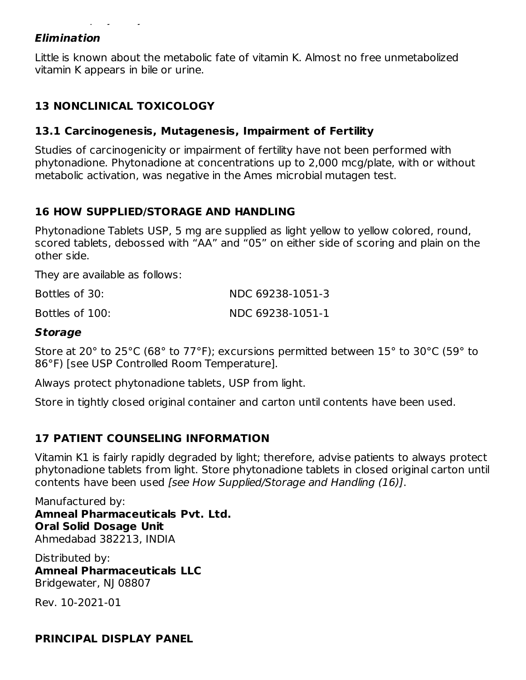#### **Elimination**

Little is known about the metabolic fate of vitamin K. Almost no free unmetabolized vitamin K appears in bile or urine.

#### **13 NONCLINICAL TOXICOLOGY**

#### **13.1 Carcinogenesis, Mutagenesis, Impairment of Fertility**

declines rapidly. Very little vitamin K accumulates in tissues.

Studies of carcinogenicity or impairment of fertility have not been performed with phytonadione. Phytonadione at concentrations up to 2,000 mcg/plate, with or without metabolic activation, was negative in the Ames microbial mutagen test.

#### **16 HOW SUPPLIED/STORAGE AND HANDLING**

Phytonadione Tablets USP, 5 mg are supplied as light yellow to yellow colored, round, scored tablets, debossed with "AA" and "05" on either side of scoring and plain on the other side.

They are available as follows:

| Bottles of 30:  | NDC 69238-1051-3 |
|-----------------|------------------|
| Bottles of 100: | NDC 69238-1051-1 |

#### **Storage**

Store at 20° to 25°C (68° to 77°F); excursions permitted between 15° to 30°C (59° to 86°F) [see USP Controlled Room Temperature].

Always protect phytonadione tablets, USP from light.

Store in tightly closed original container and carton until contents have been used.

#### **17 PATIENT COUNSELING INFORMATION**

Vitamin K1 is fairly rapidly degraded by light; therefore, advise patients to always protect phytonadione tablets from light. Store phytonadione tablets in closed original carton until contents have been used [see How Supplied/Storage and Handling (16)].

Manufactured by: **Amneal Pharmaceuticals Pvt. Ltd. Oral Solid Dosage Unit** Ahmedabad 382213, INDIA

Distributed by: **Amneal Pharmaceuticals LLC** Bridgewater, NJ 08807

Rev. 10-2021-01

#### **PRINCIPAL DISPLAY PANEL**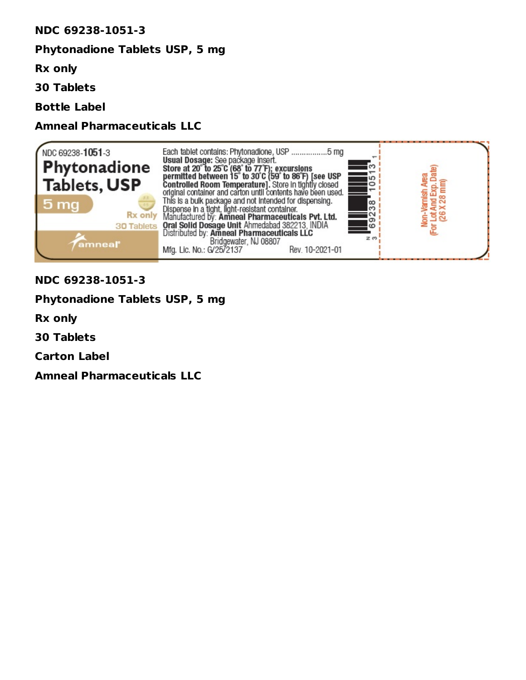#### **NDC 69238-1051-3**

#### **Phytonadione Tablets USP, 5 mg**

**Rx only**

**30 Tablets**

**Bottle Label**

#### **Amneal Pharmaceuticals LLC**



#### **NDC 69238-1051-3**

#### **Phytonadione Tablets USP, 5 mg**

**Rx only**

**30 Tablets**

**Carton Label**

**Amneal Pharmaceuticals LLC**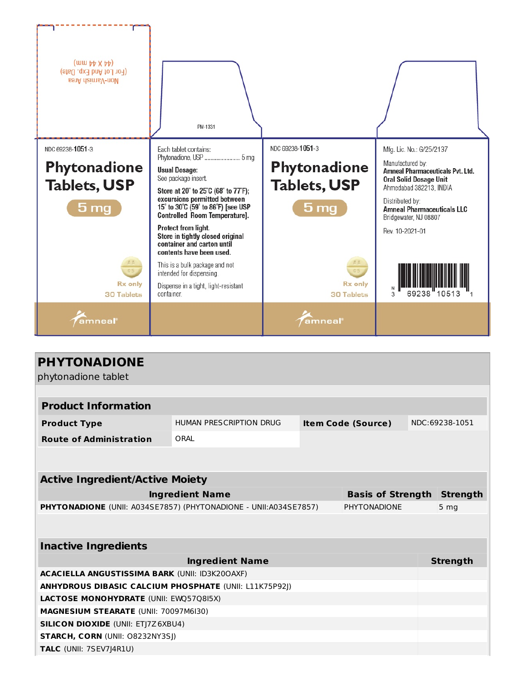

| <b>PHYTONADIONE</b><br>phytonadione tablet                        |                                |                           |  |                 |                 |  |
|-------------------------------------------------------------------|--------------------------------|---------------------------|--|-----------------|-----------------|--|
|                                                                   |                                |                           |  |                 |                 |  |
| <b>Product Information</b>                                        |                                |                           |  |                 |                 |  |
| <b>Product Type</b>                                               | <b>HUMAN PRESCRIPTION DRUG</b> | <b>Item Code (Source)</b> |  |                 | NDC:69238-1051  |  |
| <b>Route of Administration</b>                                    | ORAL                           |                           |  |                 |                 |  |
|                                                                   |                                |                           |  |                 |                 |  |
|                                                                   |                                |                           |  |                 |                 |  |
| <b>Active Ingredient/Active Moiety</b>                            |                                |                           |  |                 |                 |  |
| <b>Basis of Strength</b><br><b>Ingredient Name</b>                |                                |                           |  |                 | <b>Strength</b> |  |
| PHYTONADIONE (UNII: A034SE7857) (PHYTONADIONE - UNII: A034SE7857) |                                | <b>PHYTONADIONE</b>       |  | 5 <sub>mg</sub> |                 |  |
|                                                                   |                                |                           |  |                 |                 |  |
| <b>Inactive Ingredients</b>                                       |                                |                           |  |                 |                 |  |
| <b>Strength</b><br><b>Ingredient Name</b>                         |                                |                           |  |                 |                 |  |
| <b>ACACIELLA ANGUSTISSIMA BARK (UNII: ID3K20OAXF)</b>             |                                |                           |  |                 |                 |  |
| <b>ANHYDROUS DIBASIC CALCIUM PHOSPHATE (UNII: L11K75P92J)</b>     |                                |                           |  |                 |                 |  |
| <b>LACTOSE MONOHYDRATE (UNII: EWO5708I5X)</b>                     |                                |                           |  |                 |                 |  |
| <b>MAGNESIUM STEARATE (UNII: 70097M6I30)</b>                      |                                |                           |  |                 |                 |  |
| <b>SILICON DIOXIDE (UNII: ETJ7Z6XBU4)</b>                         |                                |                           |  |                 |                 |  |
| <b>STARCH, CORN (UNII: O8232NY3SJ)</b>                            |                                |                           |  |                 |                 |  |
| TALC (UNII: 7SEV7J4R1U)                                           |                                |                           |  |                 |                 |  |